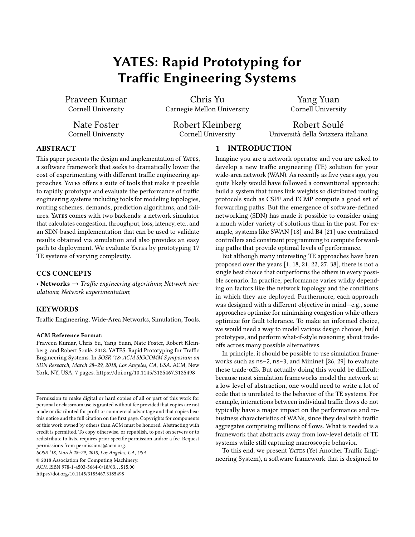# YATES: Rapid Prototyping for Traffic Engineering Systems

Praveen Kumar Cornell University

Chris Yu Carnegie Mellon University

Yang Yuan Cornell University

Nate Foster Cornell University Robert Kleinberg Cornell University

Robert Soulé Università della Svizzera italiana

# ABSTRACT

This paper presents the design and implementation of YATES, a software framework that seeks to dramatically lower the cost of experimenting with different traffic engineering approaches. YATES offers a suite of tools that make it possible to rapidly prototype and evaluate the performance of traffic engineering systems including tools for modeling topologies, routing schemes, demands, prediction algorithms, and failures. Yates comes with two backends: a network simulator that calculates congestion, throughput, loss, latency, etc., and an SDN-based implementation that can be used to validate results obtained via simulation and also provides an easy path to deployment. We evaluate YATES by prototyping 17 TE systems of varying complexity.

# CCS CONCEPTS

• Networks  $\rightarrow$  Traffic engineering algorithms; Network simulations; Network experimentation;

# **KEYWORDS**

Traffic Engineering, Wide-Area Networks, Simulation, Tools.

#### ACM Reference Format:

Praveen Kumar, Chris Yu, Yang Yuan, Nate Foster, Robert Kleinberg, and Robert Soulé. 2018. YATES: Rapid Prototyping for Traffic Engineering Systems. In SOSR '18: ACM SIGCOMM Symposium on SDN Research, March 28-29, 2018, Los Angeles, CA, USA. ACM, New York, NY, USA, [7](#page-6-0) pages.<https://doi.org/10.1145/3185467.3185498>

© 2018 Association for Computing Machinery.

ACM ISBN 978-1-4503-5664-0/18/03. . . \$15.00

# 1 INTRODUCTION

Imagine you are a network operator and you are asked to develop a new traffic engineering (TE) solution for your wide-area network (WAN). As recently as five years ago, you quite likely would have followed a conventional approach: build a system that tunes link weights so distributed routing protocols such as CSPF and ECMP compute a good set of forwarding paths. But the emergence of software-defined networking (SDN) has made it possible to consider using a much wider variety of solutions than in the past. For example, systems like SWAN [\[18\]](#page-6-1) and B4 [\[21\]](#page-6-2) use centralized controllers and constraint programming to compute forwarding paths that provide optimal levels of performance.

But although many interesting TE approaches have been proposed over the years [\[1,](#page-6-3) [18,](#page-6-1) [21,](#page-6-2) [22,](#page-6-4) [27,](#page-6-5) [38\]](#page-6-6), there is not a single best choice that outperforms the others in every possible scenario. In practice, performance varies wildly depending on factors like the network topology and the conditions in which they are deployed. Furthermore, each approach was designed with a different objective in mind-e.g., some approaches optimize for minimizing congestion while others optimize for fault tolerance. To make an informed choice, we would need a way to model various design choices, build prototypes, and perform what-if-style reasoning about tradeoffs across many possible alternatives.

In principle, it should be possible to use simulation frameworks such as ns-2, ns-3, and Mininet [\[26,](#page-6-7) [29\]](#page-6-8) to evaluate these trade-offs. But actually doing this would be difficult: because most simulation frameworks model the network at a low level of abstraction, one would need to write a lot of code that is unrelated to the behavior of the TE systems. For example, interactions between individual traffic flows do not typically have a major impact on the performance and robustness characteristics of WANs, since they deal with traffic aggregates comprising millions of flows. What is needed is a framework that abstracts away from low-level details of TE systems while still capturing macroscopic behavior.

To this end, we present YATES (Yet Another Traffic Engineering System), a software framework that is designed to

Permission to make digital or hard copies of all or part of this work for personal or classroom use is granted without fee provided that copies are not made or distributed for profit or commercial advantage and that copies bear this notice and the full citation on the first page. Copyrights for components of this work owned by others than ACM must be honored. Abstracting with credit is permitted. To copy otherwise, or republish, to post on servers or to redistribute to lists, requires prior specific permission and/or a fee. Request permissions from permissions@acm.org.

SOSR '18, March 28-29, 2018, Los Angeles, CA, USA

<https://doi.org/10.1145/3185467.3185498>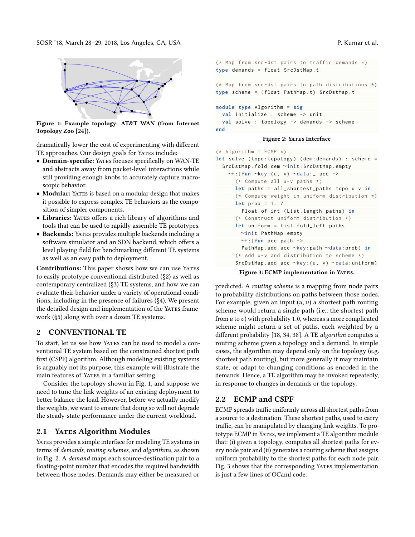SOSR '18, March 28–29, 2018, Los Angeles, CA, USA P. P. Compared to the proposal proposal proposal proposal pro

<span id="page-1-1"></span>

Figure 1: Example topology: AT&T WAN (from Internet Topology Zoo [\[24\]](#page-6-9)).

dramatically lower the cost of experimenting with different TE approaches. Our design goals for YATES include:

- Domain-specific: Yates focuses specifically on WAN-TE and abstracts away from packet-level interactions while still providing enough knobs to accurately capture macroscopic behavior.
- Modular: YATES is based on a modular design that makes it possible to express complex TE behaviors as the composition of simpler components.
- Libraries: Yates offers a rich library of algorithms and tools that can be used to rapidly assemble TE prototypes.
- Backends: Yates provides multiple backends including a software simulator and an SDN backend, which offers a level playing field for benchmarking different TE systems as well as an easy path to deployment.

Contributions: This paper shows how we can use YATES to easily prototype conventional distributed ([ğ2\)](#page-1-0) as well as contemporary centralized ([ğ3\)](#page-2-0) TE systems, and how we can evaluate their behavior under a variety of operational conditions, including in the presence of failures ([ğ4\)](#page-3-0). We present the detailed design and implementation of the YATES framework ([ğ5\)](#page-3-1) along with over a dozen TE systems.

# <span id="page-1-0"></span>2 CONVENTIONAL TE

To start, let us see how YATES can be used to model a conventional TE system based on the constrained shortest path first (CSPF) algorithm. Although modeling existing systems is arguably not its purpose, this example will illustrate the main features of YATES in a familiar setting.

Consider the topology shown in Fig. [1,](#page-1-1) and suppose we need to tune the link weights of an existing deployment to better balance the load. However, before we actually modify the weights, we want to ensure that doing so will not degrade the steady-state performance under the current workload.

# 2.1 YATES Algorithm Modules

YATES provides a simple interface for modeling TE systems in terms of demands, routing schemes, and algorithms, as shown in Fig. [2.](#page-1-2) A demand maps each source-destination pair to a floating-point number that encodes the required bandwidth between those nodes. Demands may either be measured or

```
(* Map from src-dst pairs to traffic demands *)type demands = float SrcDstMap .t
(* Map from src-dst pairs to path distributions *)type scheme = ( float PathMap .t) SrcDstMap .t
module type Algorithm = sig
 val initialize : scheme -> unit
```

```
val solve : topology -> demands -> scheme
end
```
#### Figure 2: YATES Interface

```
(* Algorithm : ECMP *)
let solve (topo:topology) (dem:demands) : scheme =
  SrcDstMap . fold dem ∼init : SrcDstMap . empty
   ∼f:( fun ∼key :(u, v) ∼data :_ acc ->
      (* Compute all u-v paths *)let paths = all_shortest_paths topo u v in
      (* Compute weight in uniform distribution *)
      let prob = 1. /.
        Float . of_int ( List . length paths ) in
      (* Construct uniform distribution *)
      let uniform = List . fold_left paths
        ∼init : PathMap . empty
        ∼f:( fun acc path ->
        PathMap .add acc ∼key : path ∼data : prob ) in
      (* Add u-v and distribution to scheme *)SrcDstMap . add acc ∼key :(u, v) ∼data : uniform )
```
Figure 3: ECMP implementation in YATES.

predicted. A routing scheme is a mapping from node pairs to probability distributions on paths between those nodes. For example, given an input  $(u, v)$  a shortest path routing scheme would return a single path (i.e., the shortest path from  $u$  to  $v$ ) with probability 1.0, whereas a more complicated scheme might return a set of paths, each weighted by a different probability [\[18,](#page-6-1) [34,](#page-6-10) [38\]](#page-6-6). A TE algorithm computes a routing scheme given a topology and a demand. In simple cases, the algorithm may depend only on the topology (e.g. shortest path routing), but more generally it may maintain state, or adapt to changing conditions as encoded in the demands. Hence, a TE algorithm may be invoked repeatedly, in response to changes in demands or the topology.

# 2.2 ECMP and CSPF

ECMP spreads traffic uniformly across all shortest paths from a source to a destination. These shortest paths, used to carry traffic, can be manipulated by changing link weights. To prototype ECMP in YATES, we implement a TE algorithm module that: (i) given a topology, computes all shortest paths for every node pair and (ii) generates a routing scheme that assigns uniform probability to the shortest paths for each node pair. Fig. [3](#page-1-3) shows that the corresponding YATES implementation is just a few lines of OCaml code.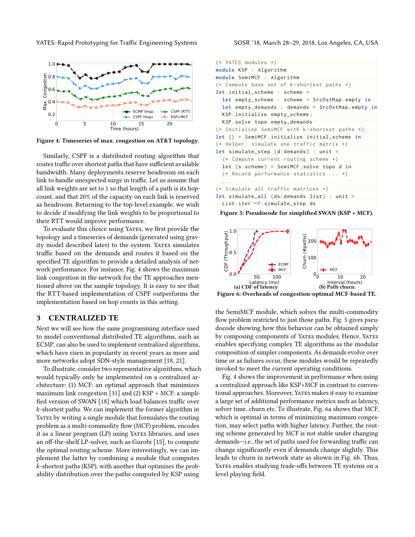YATES: Rapid Prototyping for Traffic Engineering Systems SOSR '18, March 28–29, 2018, Los Angeles, CA, USA

<span id="page-2-1"></span>

Figure 4: Timeseries of max. congestion on AT&T topology.

Similarly, CSPF is a distributed routing algorithm that routes traffic over shortest paths that have sufficient available bandwidth. Many deployments reserve headroom on each link to handle unexpected surge in traffic. Let us assume that all link weights are set to 1 so that length of a path is its hopcount, and that 20% of the capacity on each link is reserved as headroom. Returning to the top-level example, we wish to decide if modifying the link weights to be proportional to their RTT would improve performance.

To evaluate this choice using YATES, we first provide the topology and a timeseries of demands (generated using gravity model described later) to the system. YATES simulates traffic based on the demands and routes it based on the specified TE algorithm to provide a detailed analysis of network performance. For instance, Fig. [4](#page-2-1) shows the maximum link congestion in the network for the TE approaches mentioned above on the sample topology. It is easy to see that the RTT-based implementation of CSPF outperforms the implementation based on hop counts in this setting.

#### <span id="page-2-0"></span>3 CENTRALIZED TE

Next we will see how the same programming interface used to model conventional distributed TE algorithms, such as ECMP, can also be used to implement centralized algorithms, which have risen in popularity in recent years as more and more networks adopt SDN-style management [\[18,](#page-6-1) [21\]](#page-6-2).

To illustrate, consider two representative algorithms, which would typically only be implemented on a centralized architecture: (1) MCF: an optimal approach that minimizes maximum link congestion [\[31\]](#page-6-11) and (2) KSP + MCF: a simplified version of SWAN [\[18\]](#page-6-1) which load balances traffic over k-shortest paths. We can implement the former algorithm in YATES by writing a single module that formulates the routing problem as a multi-commodity flow (MCF) problem, encodes it as a linear program (LP) using YATES libraries, and uses an off-the-shelf LP-solver, such as Gurobi [\[15\]](#page-6-12), to compute the optimal routing scheme. More interestingly, we can implement the latter by combining a module that computes k-shortest paths (KSP), with another that optimizes the probability distribution over the paths computed by KSP using

```
(* YATES modules *)
module KSP : Algorithm
module SemiMCF : Algorithm
(* Compute base set of k - shortest paths *)
let initial_scheme : scheme =
  let empty_scheme : scheme = SrcDstMap . empty in
  let empty_demands : demands = SrcDstMap . empty in
 KSP . initialize empty_scheme ;
 KSP . solve topo empty_demands
(* Initialize SemiMCF with k-shortest paths *)let () = SemiMCF . initialize initial_scheme in
(* Helper: simulate one traffic matrix *)let simulate_step (d: demands ) : unit =
  (* Compute current routing scheme *)
 let (s: scheme ) = SemiMCF . solve topo d in
  (* Record performance statistics ... *)
  ...
(* Simulate all traffic matrices *)
let simulate_all (ds: demands list) : unit =
 List . iter ∼f: simulate_step ds
```
<span id="page-2-3"></span>Figure 5: Pseudocode for simplified SWAN (KSP + MCF).



Figure 6: Overheads of congestion-optimal MCF-based TE.

the SemiMCF module, which solves the multi-commodity flow problem restricted to just those paths. Fig. [5](#page-2-2) gives pseudocode showing how this behavior can be obtained simply by composing components of YATES modules. Hence, YATES enables specifying complex TE algorithms as the modular composition of simpler components. As demands evolve over time or as failures occur, these modules would be repeatedly invoked to meet the current operating conditions.

Fig. [4](#page-2-1) shows the improvement in performance when using a centralized approach like KSP+MCF in contrast to conventional approaches. Moreover, YATES makes it easy to examine a large set of additional performance metrics such as latency, solver time, churn etc. To illustrate, Fig. [6a](#page-2-3) shows that MCF, which is optimal in terms of minimizing maximum congestion, may select paths with higher latency. Further, the routing scheme generated by MCF is not stable under changing demands-i.e., the set of paths used for forwarding traffic can change significantly even if demands change slightly. This leads to churn in network state as shown in Fig. [6b.](#page-2-3) Thus, YATES enables studying trade-offs between TE systems on a level playing field.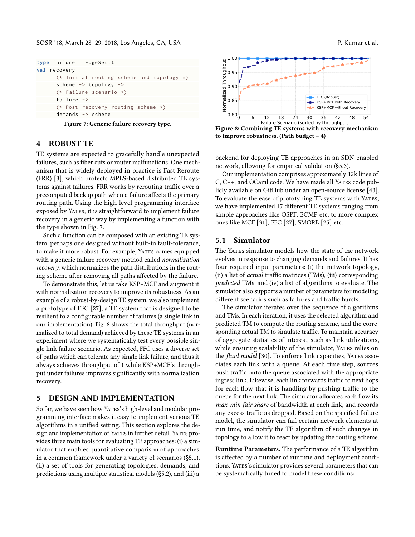SOSR '18, March 28–29, 2018, Los Angeles, CA, USA P. P. Compared to the control of the P. Kumar et al.

```
type failure = EdgeSet .t
val recovery :
      (* Initial routing scheme and topology *)
      scheme -> topology ->
      (* Failure scenario *)
      failure ->
      (* Post - recovery routing scheme *)
      demands -> scheme
```

| Figure 7: Generic failure recovery type. |  |  |  |
|------------------------------------------|--|--|--|
|------------------------------------------|--|--|--|

# <span id="page-3-0"></span>4 ROBUST TE

TE systems are expected to gracefully handle unexpected failures, such as fiber cuts or router malfunctions. One mechanism that is widely deployed in practice is Fast Reroute (FRR) [\[3\]](#page-6-13), which protects MPLS-based distributed TE systems against failures. FRR works by rerouting traffic over a precomputed backup path when a failure affects the primary routing path. Using the high-level programming interface exposed by YATES, it is straightforward to implement failure recovery in a generic way by implementing a function with the type shown in Fig. [7.](#page-3-2)

Such a function can be composed with an existing TE system, perhaps one designed without built-in fault-tolerance, to make it more robust. For example, YATES comes equipped with a generic failure recovery method called normalization recovery, which normalizes the path distributions in the routing scheme after removing all paths affected by the failure.

To demonstrate this, let us take KSP+MCF and augment it with normalization recovery to improve its robustness. As an example of a robust-by-design TE system, we also implement a prototype of FFC [\[27\]](#page-6-5), a TE system that is designed to be resilient to a configurable number of failures (a single link in our implementation). Fig. [8](#page-3-3) shows the total throughput (normalized to total demand) achieved by these TE systems in an experiment where we systematically test every possible single link failure scenario. As expected, FFC uses a diverse set of paths which can tolerate any single link failure, and thus it always achieves throughput of 1 while KSP+MCF's throughput under failures improves significantly with normalization recovery.

## <span id="page-3-1"></span>5 DESIGN AND IMPLEMENTATION

So far, we have seen how YATES's high-level and modular programming interface makes it easy to implement various TE algorithms in a unified setting. This section explores the design and implementation of YATES in further detail. YATES provides three main tools for evaluating TE approaches: (i) a simulator that enables quantitative comparison of approaches in a common framework under a variety of scenarios ([ğ5.1\)](#page-3-4), (ii) a set of tools for generating topologies, demands, and predictions using multiple statistical models ([ğ5.2\)](#page-4-0), and (iii) a

<span id="page-3-3"></span>

Figure 8: Combining TE systems with recovery mechanism to improve robustness. (Path budget  $= 4$ )

backend for deploying TE approaches in an SDN-enabled network, allowing for empirical validation ([ğ5.3\)](#page-4-1).

Our implementation comprises approximately 12k lines of C, C++, and OCaml code. We have made all YATES code publicly available on GitHub under an open-source license [\[43\]](#page-6-14). To evaluate the ease of prototyping TE systems with YATES, we have implemented 17 different TE systems ranging from simple approaches like OSPF, ECMP etc. to more complex ones like MCF [\[31\]](#page-6-11), FFC [\[27\]](#page-6-5), SMORE [\[25\]](#page-6-15) etc.

# <span id="page-3-4"></span>5.1 Simulator

The YATES simulator models how the state of the network evolves in response to changing demands and failures. It has four required input parameters: (i) the network topology, (ii) a list of actual traffic matrices (TMs), (iii) corresponding predicted TMs, and (iv) a list of algorithms to evaluate. The simulator also supports a number of parameters for modeling different scenarios such as failures and traffic bursts.

The simulator iterates over the sequence of algorithms and TMs. In each iteration, it uses the selected algorithm and predicted TM to compute the routing scheme, and the corresponding actual TM to simulate traffic. To maintain accuracy of aggregate statistics of interest, such as link utilizations, while ensuring scalability of the simulator, YATES relies on the *fluid model* [\[30\]](#page-6-16). To enforce link capacities, YATES associates each link with a queue. At each time step, sources push traffic onto the queue associated with the appropriate ingress link. Likewise, each link forwards traffic to next hops for each flow that it is handling by pushing traffic to the queue for the next link. The simulator allocates each flow its max-min fair share of bandwidth at each link, and records any excess traffic as dropped. Based on the specified failure model, the simulator can fail certain network elements at run time, and notify the TE algorithm of such changes in topology to allow it to react by updating the routing scheme.

Runtime Parameters. The performance of a TE algorithm is affected by a number of runtime and deployment conditions. YATES's simulator provides several parameters that can be systematically tuned to model these conditions: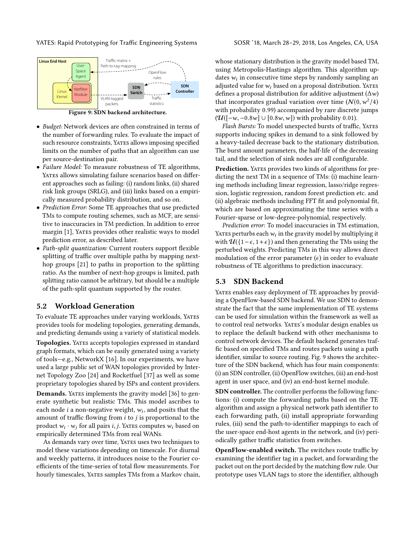YATES: Rapid Prototyping for Traffic Engineering Systems SOSR '18, March 28–29, 2018, Los Angeles, CA, USA

<span id="page-4-2"></span>

Figure 9: SDN backend architecture.

- Budget: Network devices are often constrained in terms of the number of forwarding rules. To evaluate the impact of such resource constraints, YATES allows imposing specified limits on the number of paths that an algorithm can use per source-destination pair.
- Failure Model: To measure robustness of TE algorithms, YATES allows simulating failure scenarios based on different approaches such as failing: (i) random links, (ii) shared risk link groups (SRLG), and (iii) links based on a empirically measured probability distribution, and so on.
- Prediction Error: Some TE approaches that use predicted TMs to compute routing schemes, such as MCF, are sensitive to inaccuracies in TM prediction. In addition to error margin [\[1\]](#page-6-3), YATES provides other realistic ways to model prediction error, as described later.
- Path-split quantization: Current routers support flexible splitting of traffic over multiple paths by mapping nexthop groups [\[21\]](#page-6-2) to paths in proportion to the splitting ratio. As the number of next-hop groups is limited, path splitting ratio cannot be arbitrary, but should be a multiple of the path-split quantum supported by the router.

# <span id="page-4-0"></span>5.2 Workload Generation

To evaluate TE approaches under varying workloads, Yates provides tools for modeling topologies, generating demands, and predicting demands using a variety of statistical models.

Topologies. YATES accepts topologies expressed in standard graph formats, which can be easily generated using a variety of tools-e.g., NetworkX [\[16\]](#page-6-17). In our experiments, we have used a large public set of WAN topologies provided by Internet Topology Zoo [\[24\]](#page-6-9) and Rocketfuel [\[37\]](#page-6-18) as well as some proprietary topologies shared by ISPs and content providers.

**Demands.** YATES implements the gravity model [\[36\]](#page-6-19) to generate synthetic but realistic TMs. This model ascribes to each node  $i$  a non-negative weight,  $w_i$ , and posits that the amount of traffic flowing from  $i$  to  $j$  is proportional to the product  $w_i \cdot w_j$  for all pairs *i*, *j*. Yates computes  $w_i$  based on empirically determined TMs from real WANs.

As demands vary over time, YATES uses two techniques to model these variations depending on timescale. For diurnal and weekly patterns, it introduces noise to the Fourier coefficients of the time-series of total flow measurements. For hourly timescales, YATES samples TMs from a Markov chain,

whose stationary distribution is the gravity model based TM, using Metropolis-Hastings algorithm. This algorithm updates  $w_i$  in consecutive time steps by randomly sampling an adjusted value for  $w_i$  based on a proposal distribution. YATES defines a proposal distribution for additive adjustment ( $\Delta w$ ) that incorporates gradual variation over time  $(N(0, w^2/4))$ with probability <sup>0</sup>.99) accompanied by rare discrete jumps  $(\mathcal{U}([-w, -0.8w] \cup [0.8w, w])$  with probability 0.01).

Flash Bursts: To model unexpected bursts of traffic, YATES supports inducing spikes in demand to a sink followed by a heavy-tailed decrease back to the stationary distribution. The burst amount parameters, the half-life of the decreasing tail, and the selection of sink nodes are all configurable.

Prediction. YATES provides two kinds of algorithms for predicting the next TM in a sequence of TMs: (i) machine learning methods including linear regression, lasso/ridge regression, logistic regression, random forest prediction etc. and (ii) algebraic methods including FFT fit and polynomial fit, which are based on approximating the time series with a Fourier-sparse or low-degree-polynomial, respectively.

Prediction error: To model inaccuracies in TM estimation, YATES perturbs each  $w_i$  in the gravity model by multiplying it with  $\mathcal{U}(\{1-\epsilon, 1+\epsilon\})$  and then generating the TMs using the perturbed weights. Predicting TMs in this way allows direct modulation of the error parameter  $(\epsilon)$  in order to evaluate robustness of TE algorithms to prediction inaccuracy.

# <span id="page-4-1"></span>5.3 SDN Backend

YATES enables easy deployment of TE approaches by providing a OpenFlow-based SDN backend. We use SDN to demonstrate the fact that the same implementation of TE systems can be used for simulation within the framework as well as to control real networks. YATES's modular design enables us to replace the default backend with other mechanisms to control network devices. The default backend generates traffic based on specified TMs and routes packets using a path identifier, similar to source routing. Fig. [9](#page-4-2) shows the architecture of the SDN backend, which has four main components: (i) an SDN controller, (ii) OpenFlow switches, (iii) an end-host agent in user space, and (iv) an end-host kernel module.

SDN controller. The controller performs the following functions: (i) compute the forwarding paths based on the TE algorithm and assign a physical network path identifier to each forwarding path, (ii) install appropriate forwarding rules, (iii) send the path-to-identifier mappings to each of the user-space end-host agents in the network, and (iv) periodically gather traffic statistics from switches.

OpenFlow-enabled switch. The switches route traffic by examining the identifier tag in a packet, and forwarding the packet out on the port decided by the matching flow rule. Our prototype uses VLAN tags to store the identifier, although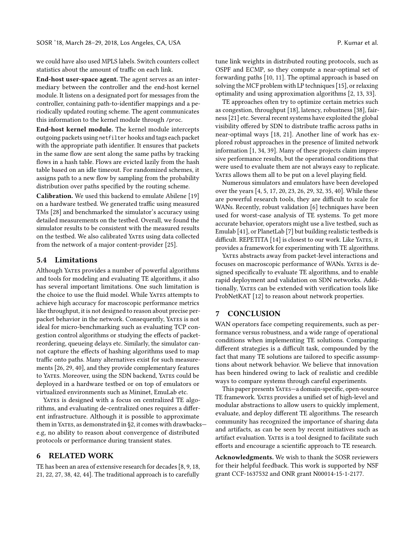we could have also used MPLS labels. Switch counters collect statistics about the amount of traffic on each link.

End-host user-space agent. The agent serves as an intermediary between the controller and the end-host kernel module. It listens on a designated port for messages from the controller, containing path-to-identifier mappings and a periodically updated routing scheme. The agent communicates this information to the kernel module through /proc.

End-host kernel module. The kernel module intercepts outgoing packets using netfilter hooks and tags each packet with the appropriate path identifier. It ensures that packets in the same flow are sent along the same paths by tracking flows in a hash table. Flows are evicted lazily from the hash table based on an idle timeout. For randomized schemes, it assigns path to a new flow by sampling from the probability distribution over paths specified by the routing scheme.

Calibration. We used this backend to emulate Abilene [\[19\]](#page-6-20) on a hardware testbed. We generated traffic using measured TMs [\[28\]](#page-6-21) and benchmarked the simulator's accuracy using detailed measurements on the testbed. Overall, we found the simulator results to be consistent with the measured results on the testbed. We also calibrated YATES using data collected from the network of a major content-provider [\[25\]](#page-6-15).

#### 5.4 Limitations

Although YATES provides a number of powerful algorithms and tools for modeling and evaluating TE algorithms, it also has several important limitations. One such limitation is the choice to use the fluid model. While YATES attempts to achieve high accuracy for macroscopic performance metrics like throughput, it is not designed to reason about precise perpacket behavior in the network. Consequently, YATES is not ideal for micro-benchmarking such as evaluating TCP congestion control algorithms or studying the effects of packetreordering, queueing delays etc. Similarly, the simulator cannot capture the effects of hashing algorithms used to map traffic onto paths. Many alternatives exist for such measurements [\[26,](#page-6-7) [29,](#page-6-8) [40\]](#page-6-22), and they provide complementary features to YATES. Moreover, using the SDN backend, YATES could be deployed in a hardware testbed or on top of emulators or virtualized environments such as Mininet, EmuLab etc.

YATES is designed with a focus on centralized TE algorithms, and evaluating de-centralized ones requires a different infrastructure. Although it is possible to approximate them in YATES, as demonstrated in §2, it comes with drawbackse.g, no ability to reason about convergence of distributed protocols or performance during transient states.

# 6 RELATED WORK

TE has been an area of extensive research for decades [\[8,](#page-6-23) [9,](#page-6-24) [18,](#page-6-1) [21,](#page-6-2) [22,](#page-6-4) [27,](#page-6-5) [38,](#page-6-6) [42,](#page-6-25) [44\]](#page-6-26). The traditional approach is to carefully

tune link weights in distributed routing protocols, such as OSPF and ECMP, so they compute a near-optimal set of forwarding paths [\[10,](#page-6-27) [11\]](#page-6-28). The optimal approach is based on solving the MCF problem with LP techniques [\[15\]](#page-6-12), or relaxing optimality and using approximation algorithms [\[2,](#page-6-29) [13,](#page-6-30) [33\]](#page-6-31).

TE approaches often try to optimize certain metrics such as congestion, throughput [\[18\]](#page-6-1), latency, robustness [\[38\]](#page-6-6), fairness [\[21\]](#page-6-2) etc. Several recent systems have exploited the global visibility offered by SDN to distribute traffic across paths in near-optimal ways [\[18,](#page-6-1) [21\]](#page-6-2). Another line of work has explored robust approaches in the presence of limited network information [\[1,](#page-6-3) [34,](#page-6-10) [39\]](#page-6-32). Many of these projects claim impressive performance results, but the operational conditions that were used to evaluate them are not always easy to replicate. YATES allows them all to be put on a level playing field.

Numerous simulators and emulators have been developed over the years [\[4,](#page-6-33) [5,](#page-6-34) [17,](#page-6-35) [20,](#page-6-36) [23,](#page-6-37) [26,](#page-6-7) [29,](#page-6-8) [32,](#page-6-38) [35,](#page-6-39) [40\]](#page-6-22). While these are powerful research tools, they are difficult to scale for WANs. Recently, robust validation [\[6\]](#page-6-40) techniques have been used for worst-case analysis of TE systems. To get more accurate behavior, operators might use a live testbed, such as Emulab [\[41\]](#page-6-41), or PlanetLab [\[7\]](#page-6-42) but building realistic testbeds is difficult. REPETITA [\[14\]](#page-6-43) is closest to our work. Like YATES, it provides a framework for experimenting with TE algorithms.

YATES abstracts away from packet-level interactions and focuses on macroscopic performance of WANs. YATES is designed specifically to evaluate TE algorithms, and to enable rapid deployment and validation on SDN networks. Additionally, YATES can be extended with verification tools like ProbNetKAT [\[12\]](#page-6-44) to reason about network properties.

# 7 CONCLUSION

WAN operators face competing requirements, such as performance versus robustness, and a wide range of operational conditions when implementing TE solutions. Comparing different strategies is a difficult task, compounded by the fact that many TE solutions are tailored to specific assumptions about network behavior. We believe that innovation has been hindered owing to lack of realistic and credible ways to compare systems through careful experiments.

This paper presents YATES-a domain-specific, open-source TE framework. YATES provides a unified set of high-level and modular abstractions to allow users to quickly implement, evaluate, and deploy different TE algorithms. The research community has recognized the importance of sharing data and artifacts, as can be seen by recent initiatives such as artifact evaluation. YATES is a tool designed to facilitate such efforts and encourage a scientific approach to TE research.

Acknowledgments. We wish to thank the SOSR reviewers for their helpful feedback. This work is supported by NSF grant CCF-1637532 and ONR grant N00014-15-1-2177.